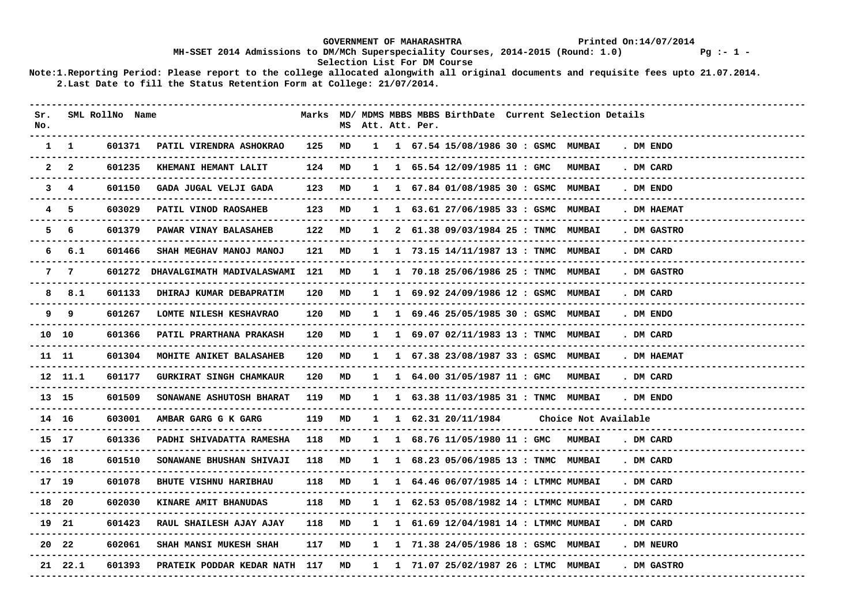### GOVERNMENT OF MAHARASHTRA **Printed On:14/07/2014 MH-SSET 2014 Admissions to DM/MCh Superspeciality Courses, 2014-2015 (Round: 1.0) Pg :- 1 - Selection List For DM Course**

| Sr.<br>No. |               | SML RollNo Name |                                       |                      |    |              | MS Att. Att. Per. |                      |                                                                 | Marks MD/ MDMS MBBS MBBS BirthDate Current Selection Details |                                            |
|------------|---------------|-----------------|---------------------------------------|----------------------|----|--------------|-------------------|----------------------|-----------------------------------------------------------------|--------------------------------------------------------------|--------------------------------------------|
|            | $1 \quad 1$   | 601371          | PATIL VIRENDRA ASHOKRAO               | 125 MD<br>. <u>.</u> |    |              |                   |                      | 1 1 67.54 15/08/1986 30 : GSMC MUMBAI                           |                                                              | . DM ENDO                                  |
|            | $2\quad 2$    | 601235          | KHEMANI HEMANT LALIT                  | 124                  | MD |              |                   |                      | 1 1 65.54 12/09/1985 11 : GMC                                   | <b>MUMBAI</b>                                                | . DM CARD                                  |
|            | $3 \quad 4$   | 601150          | GADA JUGAL VELJI GADA                 | 123                  | MD |              |                   |                      | 1 1 67.84 01/08/1985 30 : GSMC MUMBAI                           |                                                              | . DM ENDO                                  |
|            | 45            | 603029          | PATIL VINOD RAOSAHEB                  | 123                  | MD |              |                   |                      | 1 1 63.61 27/06/1985 33 : GSMC MUMBAI                           |                                                              | . DM HAEMAT                                |
|            | 5 6           | 601379          | PAWAR VINAY BALASAHEB                 | 122                  | MD | $\mathbf{1}$ |                   |                      | 2 61.38 09/03/1984 25 : TNMC MUMBAI                             |                                                              | . DM GASTRO                                |
|            | 6 6.1         | 601466          | SHAH MEGHAV MANOJ MANOJ               | 121                  | MD |              |                   |                      | 1 1 73.15 14/11/1987 13 : TNMC MUMBAI                           |                                                              | . DM CARD                                  |
|            | 7 7           |                 | 601272 DHAVALGIMATH MADIVALASWAMI 121 |                      | MD |              |                   |                      | 1 1 70.18 25/06/1986 25 : TNMC MUMBAI                           |                                                              | . DM GASTRO                                |
|            | 8 8.1         | 601133          | DHIRAJ KUMAR DEBAPRATIM               | 120                  | MD |              |                   |                      | 1 1 69.92 24/09/1986 12 : GSMC MUMBAI                           |                                                              | . DM CARD<br>--------------------          |
|            | 99<br>------- | 601267          | LOMTE NILESH KESHAVRAO                | 120                  | MD |              |                   |                      | 1 1 69.46 25/05/1985 30 : GSMC MUMBAI                           |                                                              | . DM ENDO                                  |
| 10 10      |               | 601366          | <b>PATIL PRARTHANA PRAKASH</b>        | 120                  | MD |              |                   |                      | $1 \quad 1 \quad 69.07 \quad 02/11/1983 \quad 13$ : TNMC MUMBAI |                                                              | . DM CARD<br>----------------              |
| 11 11      |               | 601304          | MOHITE ANIKET BALASAHEB               | 120                  | MD |              |                   |                      | 1 1 67.38 23/08/1987 33 : GSMC MUMBAI                           |                                                              | . DM HAEMAT                                |
|            | 12 11.1       | 601177          | <b>GURKIRAT SINGH CHAMKAUR</b>        | 120                  | MD |              |                   |                      | 1 1 64.00 31/05/1987 11: GMC MUMBAI                             |                                                              | . DM CARD<br>. _ _ _ _ _ _ _ _ _ _ _ _ _ _ |
| 13 15      |               | 601509          | SONAWANE ASHUTOSH BHARAT              | 119                  | MD |              |                   |                      | 1 1 63.38 11/03/1985 31 : TNMC MUMBAI                           |                                                              | . DM ENDO                                  |
| 14 16      |               | 603001          | AMBAR GARG G K GARG                   | 119                  | MD |              |                   | 1 1 62.31 20/11/1984 |                                                                 | Choice Not Available                                         |                                            |
| 15 17      |               | 601336          | PADHI SHIVADATTA RAMESHA              | 118                  | MD |              |                   |                      | 1 1 68.76 11/05/1980 11: GMC MUMBAI                             |                                                              | . DM CARD                                  |
| 16 18      |               | 601510          | SONAWANE BHUSHAN SHIVAJI              | 118                  | MD | $\mathbf{1}$ |                   |                      | 1 68.23 05/06/1985 13 : TNMC MUMBAI                             |                                                              | . DM CARD                                  |
| 17 19      |               | 601078          | <b>BHUTE VISHNU HARIBHAU</b>          | 118                  | MD |              |                   |                      | 1 1 64.46 06/07/1985 14 : LTMMC MUMBAI                          |                                                              | . DM CARD                                  |
| 18 20      |               | 602030          | KINARE AMIT BHANUDAS                  | 118                  | MD |              |                   |                      | 1 1 62.53 05/08/1982 14 : LTMMC MUMBAI                          |                                                              | . DM CARD                                  |
| 19 21      |               | 601423          | RAUL SHAILESH AJAY AJAY               | 118                  | MD |              |                   |                      | 1 1 61.69 12/04/1981 14 : LTMMC MUMBAI                          |                                                              | . DM CARD<br>------------------            |
|            | 20 22         | 602061          | SHAH MANSI MUKESH SHAH                | 117                  | MD |              |                   |                      | 1 1 71.38 24/05/1986 18 : GSMC MUMBAI                           |                                                              | . DM NEURO                                 |
|            | 21 22.1       | 601393          | PRATEIK PODDAR KEDAR NATH 117         |                      | MD |              |                   |                      | 1 1 71.07 25/02/1987 26 : LTMC MUMBAI                           |                                                              | . DM GASTRO                                |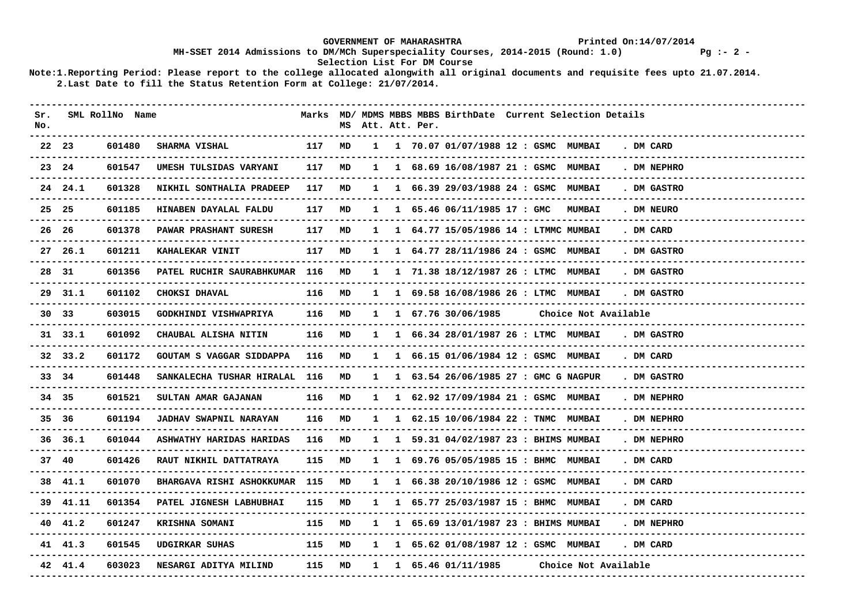### GOVERNMENT OF MAHARASHTRA **Printed On:14/07/2014 MH-SSET 2014 Admissions to DM/MCh Superspeciality Courses, 2014-2015 (Round: 1.0) Pg :- 2 - Selection List For DM Course**

| Sr.<br>No. |                 | SML RollNo Name    |                                  |        |    |              | MS Att. Att. Per. | Marks MD/ MDMS MBBS MBBS BirthDate Current Selection Details |                      |             |                    |
|------------|-----------------|--------------------|----------------------------------|--------|----|--------------|-------------------|--------------------------------------------------------------|----------------------|-------------|--------------------|
|            | 22 23           | 601480<br>-------- | <b>SHARMA VISHAL</b>             | 117    | MD |              |                   | 1 1 70.07 01/07/1988 12 : GSMC MUMBAI                        |                      | . DM CARD   |                    |
|            | 23 24           | 601547             | UMESH TULSIDAS VARYANI           | 117    | MD |              |                   | 1 1 68.69 16/08/1987 21 : GSMC MUMBAI                        |                      | . DM NEPHRO |                    |
|            | 24 24.1         | 601328             | NIKHIL SONTHALIA PRADEEP         | 117    | MD |              |                   | 1 66.39 29/03/1988 24 : GSMC MUMBAI                          |                      | . DM GASTRO |                    |
|            | 25 25           | 601185             | HINABEN DAYALAL FALDU            | 117 MD |    |              |                   | 1 1 65.46 06/11/1985 17 : GMC MUMBAI                         |                      | . DM NEURO  |                    |
|            | 26 26           | 601378             | PAWAR PRASHANT SURESH            | 117    | MD |              |                   | 1 1 64.77 15/05/1986 14 : LTMMC MUMBAI                       |                      | . DM CARD   |                    |
|            | 27, 26.1        | 601211             | KAHALEKAR VINIT                  | 117    | MD |              |                   | 1 1 64.77 28/11/1986 24 : GSMC MUMBAI                        |                      | . DM GASTRO |                    |
|            | 28 31           | 601356             | PATEL RUCHIR SAURABHKUMAR 116    |        | MD |              |                   | 1 1 71.38 18/12/1987 26 : LTMC MUMBAI                        |                      | . DM GASTRO |                    |
|            | 29 31.1         | 601102             | <b>CHOKSI DHAVAL</b>             | 116 MD |    |              |                   | 1 1 69.58 16/08/1986 26 : LTMC MUMBAI                        |                      | . DM GASTRO |                    |
|            | 30 33           | 603015             | GODKHINDI VISHWAPRIYA            | 116 MD |    |              |                   | 1 1 67.76 30/06/1985                                         | Choice Not Available |             |                    |
|            | 31 33.1         | 601092             | CHAUBAL ALISHA NITIN             | 116    | MD |              |                   | 1 1 66.34 28/01/1987 26 : LTMC MUMBAI                        |                      | . DM GASTRO |                    |
|            | $32 \quad 33.2$ | 601172             | GOUTAM S VAGGAR SIDDAPPA         | 116    | MD | $\mathbf{1}$ |                   | 1 66.15 01/06/1984 12 : GSMC MUMBAI                          |                      | . DM CARD   |                    |
|            | 33 34           | 601448             | SANKALECHA TUSHAR HIRALAL 116 MD |        |    |              |                   | 1 1 63.54 26/06/1985 27 : GMC G NAGPUR                       |                      | . DM GASTRO |                    |
|            | 34 35           | 601521             | SULTAN AMAR GAJANAN              | 116    | MD |              |                   | 1 1 62.92 17/09/1984 21 : GSMC MUMBAI                        |                      | . DM NEPHRO |                    |
|            | 35 36           | 601194             | <b>JADHAV SWAPNIL NARAYAN</b>    | 116    | MD |              |                   | 1 1 62.15 10/06/1984 22 : TNMC MUMBAI                        |                      | . DM NEPHRO |                    |
|            | 36, 36.1        | 601044             | ASHWATHY HARIDAS HARIDAS         | 116    | MD |              |                   | 1 1 59.31 04/02/1987 23 : BHIMS MUMBAI                       |                      | . DM NEPHRO |                    |
|            | 37 40           | 601426             | <b>RAUT NIKHIL DATTATRAYA</b>    | 115 MD |    |              |                   | 1 1 69.76 05/05/1985 15 : BHMC MUMBAI                        |                      | . DM CARD   |                    |
|            | 38 41.1         | 601070             | BHARGAVA RISHI ASHOKKUMAR 115    |        | MD |              |                   | 1 1 66.38 20/10/1986 12 : GSMC MUMBAI                        |                      | . DM CARD   |                    |
|            | 39 41.11        | 601354             | PATEL JIGNESH LABHUBHAI          | 115    | MD |              |                   | 1 1 65.77 25/03/1987 15 : BHMC MUMBAI                        |                      | . DM CARD   |                    |
|            | 40 41.2         | 601247             | KRISHNA SOMANI                   | 115    | MD | $\mathbf{1}$ |                   | 1 65.69 13/01/1987 23 : BHIMS MUMBAI                         |                      | . DM NEPHRO | ------------------ |
|            | 41 41.3         | 601545             | UDGIRKAR SUHAS                   | 115 MD |    |              |                   | 1 1 65.62 01/08/1987 12 : GSMC MUMBAI                        |                      | . DM CARD   |                    |
|            | 42 41.4         | 603023             | NESARGI ADITYA MILIND            | 115    | MD |              |                   | 1 1 65.46 01/11/1985                                         | Choice Not Available |             |                    |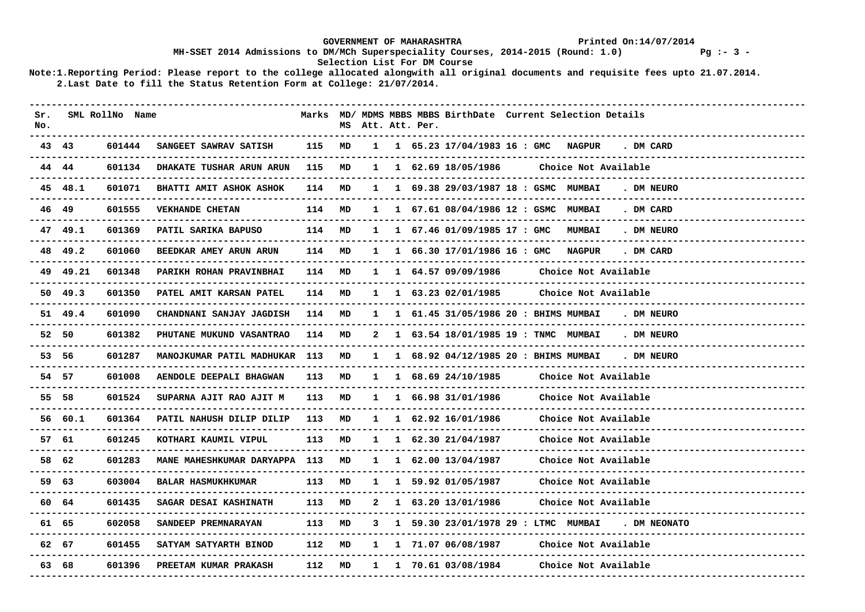## GOVERNMENT OF MAHARASHTRA **Printed On:14/07/2014 MH-SSET 2014 Admissions to DM/MCh Superspeciality Courses, 2014-2015 (Round: 1.0) Pg :- 3 - Selection List For DM Course**

| Sr.<br>No. |                 | SML RollNo Name |                                  |        |    |              | MS Att. Att. Per. |                                          | Marks MD/ MDMS MBBS MBBS BirthDate Current Selection Details                  |
|------------|-----------------|-----------------|----------------------------------|--------|----|--------------|-------------------|------------------------------------------|-------------------------------------------------------------------------------|
|            | 43 43           | 601444          | SANGEET SAWRAV SATISH            | 115 MD |    |              |                   |                                          | 1 1 65.23 17/04/1983 16 : GMC NAGPUR<br>. DM CARD                             |
|            | 44 44           | 601134          | DHAKATE TUSHAR ARUN ARUN         | 115    | MD |              |                   | 1 1 62.69 18/05/1986                     | Choice Not Available                                                          |
|            | 45 48.1         | 601071          | BHATTI AMIT ASHOK ASHOK          | 114 MD |    | $\mathbf{1}$ |                   |                                          | 1 69.38 29/03/1987 18 : GSMC MUMBAI<br>. DM NEURO                             |
|            | 46 49           | 601555          | <b>VEKHANDE CHETAN</b>           | 114 MD |    |              |                   |                                          | 1 1 67.61 08/04/1986 12 : GSMC MUMBAI<br>. DM CARD                            |
|            | 47 49.1         | 601369          | PATIL SARIKA BAPUSO              | 114 MD |    |              |                   | 1 1 67.46 01/09/1985 17 : GMC            | <b>MUMBAI</b><br>. DM NEURO                                                   |
|            | 48 49.2         | 601060          | BEEDKAR AMEY ARUN ARUN           | 114 MD |    |              |                   |                                          | 1 1 66.30 17/01/1986 16 : GMC NAGPUR<br>. DM CARD                             |
|            | 49 49.21        | 601348          | PARIKH ROHAN PRAVINBHAI          | 114 MD |    |              |                   | 1 1 64.57 09/09/1986                     | Choice Not Available<br>------------------------                              |
|            | $50 \quad 49.3$ | 601350          | PATEL AMIT KARSAN PATEL          | 114 MD |    |              |                   | 1 1 63.23 02/01/1985                     | Choice Not Available                                                          |
|            | 51 49.4         | 601090          | CHANDNANI SANJAY JAGDISH         | 114 MD |    |              |                   |                                          | 1 1 61.45 31/05/1986 20 : BHIMS MUMBAI<br>. DM NEURO                          |
|            | 52 50           | 601382          | PHUTANE MUKUND VASANTRAO         | 114    | MD | 2            |                   |                                          | 1 63.54 18/01/1985 19 : TNMC MUMBAI<br>. DM NEURO                             |
|            | 53 56           | 601287          | MANOJKUMAR PATIL MADHUKAR        | 113    | MD | $\mathbf{1}$ |                   |                                          | 1 68.92 04/12/1985 20 : BHIMS MUMBAI<br>. DM NEURO<br>----------------------- |
|            | 54 57           | 601008          | AENDOLE DEEPALI BHAGWAN          | 113 MD |    |              |                   | $1 \quad 1 \quad 68.69 \quad 24/10/1985$ | Choice Not Available<br>------------------------                              |
|            | 55 58           | 601524          | SUPARNA AJIT RAO AJIT M          | 113    | MD |              |                   | 1 1 66.98 31/01/1986                     | Choice Not Available<br>-------------------------                             |
|            | 56 60.1         | 601364          | PATIL NAHUSH DILIP DILIP         | 113    | MD |              |                   | 1 1 62.92 16/01/1986                     | Choice Not Available                                                          |
|            | 57 61           | 601245          | KOTHARI KAUMIL VIPUL             | 113    | MD |              |                   | $1 \quad 1 \quad 62.30 \quad 21/04/1987$ | Choice Not Available                                                          |
|            | 58 62           | 601283          | MANE MAHESHKUMAR DARYAPPA 113 MD |        |    |              |                   | $1 \quad 1 \quad 62.00 \quad 13/04/1987$ | Choice Not Available                                                          |
|            | 59 63           | 603004          | <b>BALAR HASMUKHKUMAR</b>        | 113    | MD |              |                   | 1 1 59.92 01/05/1987                     | Choice Not Available<br>--------------------------                            |
|            | 60 64           | 601435          | SAGAR DESAI KASHINATH            | 113    | MD | $\mathbf{2}$ |                   | 1 63.20 13/01/1986                       | Choice Not Available                                                          |
|            | 61 65           | 602058          | SANDEEP PREMNARAYAN              | 113    | MD | 3            |                   |                                          | 1 59.30 23/01/1978 29 : LTMC MUMBAI . DM NEONATO                              |
|            | 62 67           | 601455          | SATYAM SATYARTH BINOD            | 112 MD |    |              |                   | 1 1 71.07 06/08/1987                     | Choice Not Available                                                          |
|            | 63 68           | 601396          | PREETAM KUMAR PRAKASH            | 112    | MD |              |                   | 1 1 70.61 03/08/1984                     | Choice Not Available                                                          |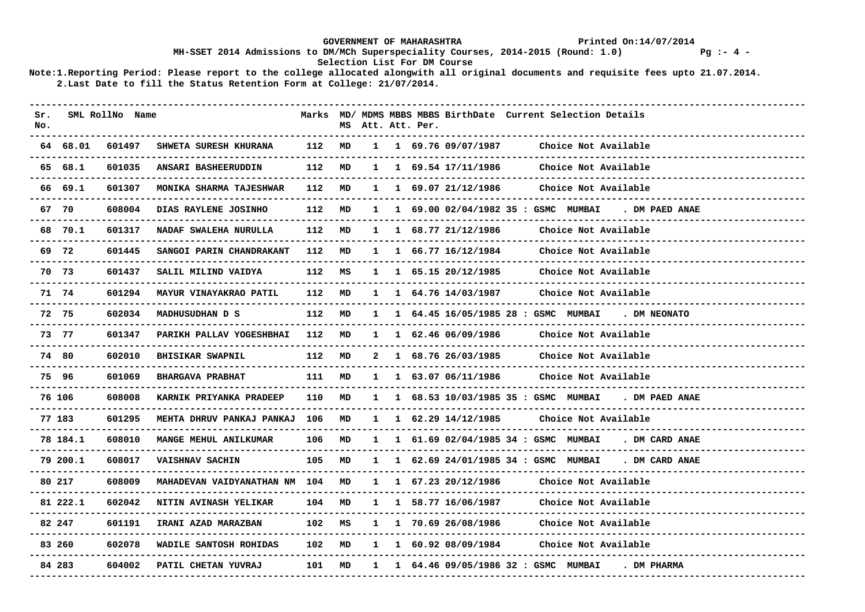### GOVERNMENT OF MAHARASHTRA **Printed On:14/07/2014 MH-SSET 2014 Admissions to DM/MCh Superspeciality Courses, 2014-2015 (Round: 1.0) Pg :- 4 - Selection List For DM Course**

| Sr.<br>No. |          | SML RollNo Name |                               |     | MS |              | Att. Att. Per. |                                          | Marks MD/ MDMS MBBS MBBS BirthDate Current Selection Details |
|------------|----------|-----------------|-------------------------------|-----|----|--------------|----------------|------------------------------------------|--------------------------------------------------------------|
|            | 64 68.01 | 601497          | SHWETA SURESH KHURANA         | 112 | MD |              |                | $1 \quad 1 \quad 69.76 \quad 09/07/1987$ | Choice Not Available                                         |
|            | 65 68.1  | 601035          | ANSARI BASHEERUDDIN           | 112 | MD | $\mathbf{1}$ |                | 1 69.54 17/11/1986                       | Choice Not Available                                         |
|            | 66 69.1  | 601307          | MONIKA SHARMA TAJESHWAR       | 112 | MD | $\mathbf{1}$ |                | 1 69.07 21/12/1986                       | Choice Not Available                                         |
|            | 67 70    | 608004          | DIAS RAYLENE JOSINHO          | 112 | MD |              |                |                                          | 1 69.00 02/04/1982 35 : GSMC MUMBAI<br>. DM PAED ANAE        |
|            | 68 70.1  | 601317          | NADAF SWALEHA NURULLA         | 112 | MD |              |                | $1 \quad 1 \quad 68.77 \quad 21/12/1986$ | Choice Not Available                                         |
|            | 69 72    | 601445          | SANGOI PARIN CHANDRAKANT      | 112 | MD | $\mathbf{1}$ |                | 1 66.77 16/12/1984                       | Choice Not Available                                         |
|            | 70 73    | 601437          | SALIL MILIND VAIDYA           | 112 | MS | 1            |                | 1 65.15 20/12/1985                       | Choice Not Available                                         |
|            | 71 74    | 601294          | MAYUR VINAYAKRAO PATIL        | 112 | MD | $\mathbf{1}$ |                | 1 64.76 14/03/1987                       | Choice Not Available                                         |
|            | 72 75    | 602034          | MADHUSUDHAN D S               | 112 | MD | $\mathbf{1}$ |                |                                          | 1 64.45 16/05/1985 28 : GSMC MUMBAI<br>. DM NEONATO          |
|            | 73 77    | 601347          | PARIKH PALLAV YOGESHBHAI      | 112 | MD | $\mathbf{1}$ |                | 1 62.46 06/09/1986                       | Choice Not Available                                         |
|            | 74 80    | 602010          | <b>BHISIKAR SWAPNIL</b>       | 112 | MD | 2            |                | 1 68.76 26/03/1985                       | Choice Not Available                                         |
|            | 75 96    | 601069          | <b>BHARGAVA PRABHAT</b>       | 111 | MD |              |                | 1 63.07 06/11/1986                       | Choice Not Available                                         |
|            | 76 106   | 608008          | KARNIK PRIYANKA PRADEEP       | 110 | MD | 1            |                |                                          | 1 68.53 10/03/1985 35 : GSMC MUMBAI<br>. DM PAED ANAE        |
|            | 77 183   | 601295          | MEHTA DHRUV PANKAJ PANKAJ     | 106 | MD | $\mathbf{1}$ |                | $1\quad 62.29\quad 14/12/1985$           | Choice Not Available                                         |
|            | 78 184.1 | 608010          | <b>MANGE MEHUL ANILKUMAR</b>  | 106 | MD | 1            |                |                                          | 1 61.69 02/04/1985 34 : GSMC MUMBAI<br>. DM CARD ANAE        |
|            | 79 200.1 | 608017          | <b>VAISHNAV SACHIN</b>        | 105 | MD |              |                |                                          | 1 62.69 24/01/1985 34 : GSMC MUMBAI<br>. DM CARD ANAE        |
|            | 80 217   | 608009          | MAHADEVAN VAIDYANATHAN NM 104 |     | MD | $\mathbf{1}$ |                | 1 67.23 20/12/1986                       | Choice Not Available                                         |
|            | 81 222.1 | 602042          | NITIN AVINASH YELIKAR         | 104 | MD | 1            |                | 1 58.77 16/06/1987                       | Choice Not Available                                         |
|            | 82 247   | 601191          | IRANI AZAD MARAZBAN           | 102 | MS | 1            |                | 1 70.69 26/08/1986                       | Choice Not Available                                         |
|            | 83 260   | 602078          | WADILE SANTOSH ROHIDAS        | 102 | MD | $\mathbf{1}$ |                | 1 60.92 08/09/1984                       | Choice Not Available                                         |
|            | 84 283   | 604002          | PATIL CHETAN YUVRAJ           | 101 | MD | 1            |                |                                          | 1 64.46 09/05/1986 32 : GSMC MUMBAI<br>. DM PHARMA           |